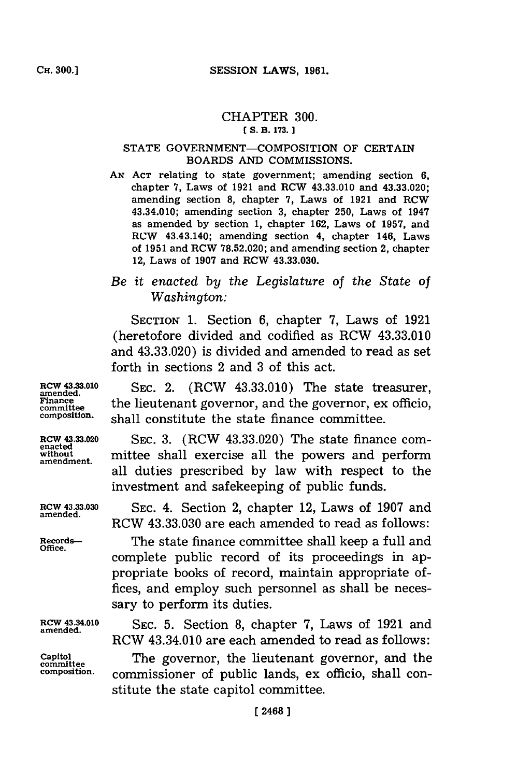## CHAPTER **300.**

#### **[ S. B3. 173.**

#### STATE GOVERNMENT-COMPOSITION OF CERTAIN BOARDS **AND** COMMISSIONS.

**AN ACT** relating to state government; amending section **6,** chapter **7,** Laws of **1921** and RCW 43.33.010 and 43.33.020; amending section **8,** chapter **7,** Laws of **1921** and RCW 43.34.010; amending section **3,** chapter **250,** Laws of 1947 as amended **by** section **1,** chapter **162,** Laws of **1957,** and RCW 43.43.140; amending section 4, chapter 146, Laws of **1951** and RCW **78.52.020;** and amending section 2, chapter 12, Laws of **1907** and RCW **43.33.030.**

## *Be it enacted by the Legislture of the State of Washington:*

SECTION **1.** Section **6,** chapter **7,** Laws of **1921** (heretofore divided and codified as RCW 43.33.010 and 43.33.020) is divided and amended to read as set forth in sections 2 and **3** of this act.

RCW 43.33.010 SEC. 2. (RCW 43.33.010) The state treasurer,  $\frac{\text{Finance}}{\text{rinnance}}$  the lieutenant governor, and the governor, ex officio, composition. shall constitute the state finance committee.

**RCW** 43.33.020 **SEC. 3.** (RCW 43.33.020) The state finance comn**without** mittee shall exercise all the powers and perform **amendment.** all duties prescribed **by** law with respect to the investment and safekeeping of public funds.

**RCW 43.33.030 SEC.** 4. Section 2, chapter 12, Laws of **1907** and RCW **43.33.030** are each amended to read as follows:

Records--<br>Office. The state finance committee shall keep a full and complete public record of its proceedings in appropriate books of record, maintain appropriate offices, and employ such personnel as shall be necessary to perform its duties.

Rcw **43.34.010 SEC. 5.** Section **8,** chapter **7,** Laws of **1921** and **amended.** RCW 43.34.010 are each amended to read as follows:

Capitol Capitol The governor, the lieutenant governor, and the **composition.** commissioner of public lands, ex officio, shall constitute the state capitol committee.

**enacted**

**amended.**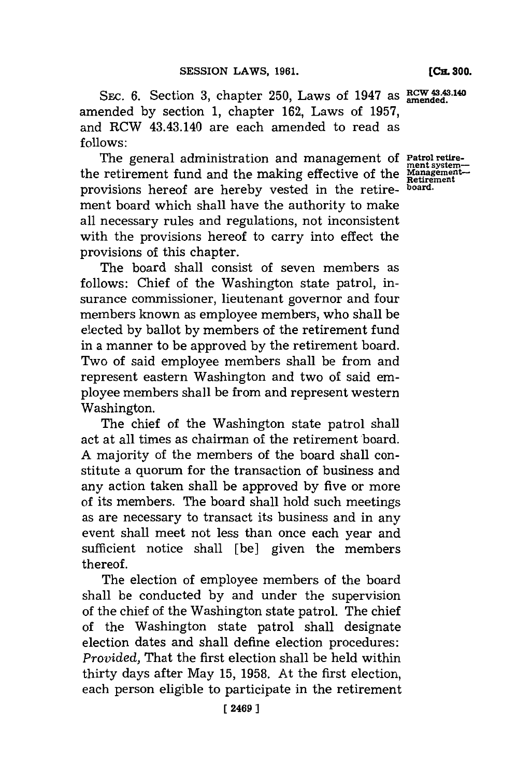[CIL **300.**

SEC. 6. Section 3, chapter 250, Laws of 1947 as  $\frac{RCW43.43.140}{amended}$ . amended **by** section **1,** chapter **162,** Laws of **1957,** and RCW 43.43.140 are each amended to read as **f ollows:**

The general administration and management of **Patrol retire- ment system**the retirement fund and the making effective of the **Management** provisions hereof are hereby vested in the retire- **board.** ment board which shall have the authority to make all necessary rules and regulations, not inconsistent with the provisions hereof to carry into effect the provisions of this chapter.

The board shall consist of seven members as follows: Chief of the Washington state patrol, insurance commissioner, lieutenant governor and four members known as employee members, who shall be elected **by** ballot **by** members of the retirement fund in a manner to be approved **by** the retirement board. Two of said employee members shall be from and represent eastern Washington and two of said employee members shall be from and represent western Washington.

The chief of the Washington state patrol shall act at all times as chairman of the retirement board. **A** majority of the members of the board shall constitute a quorum for the transaction of business and any action taken shall be approved **by** five or more of its members. The board shall hold such meetings as are necessary to transact its business and in any event shall meet not less than once each year and sufficient notice shall [be] given the members thereof.

The election of employee members of the board shall be conducted **by** and under the supervision of the chief of the Washington state patrol. The chief of the Washington state patrol shall designate election dates and shall define election procedures: *Provided,* That the first election shall be held within thirty days after May **15, 1958.** At the first election, each person eligible to participate in the retirement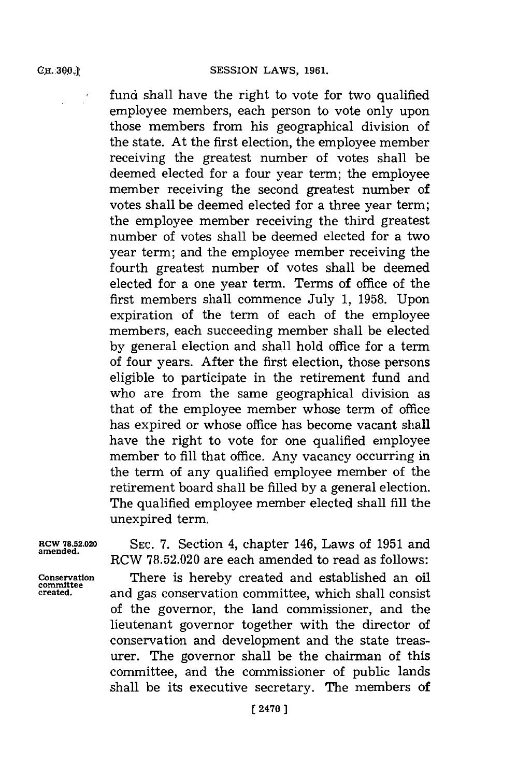fund shall have the right to vote for two qualified employee members, each person to vote only upon those members from his geographical division of the state. At the first election, the employee member receiving the greatest number of votes shall be deemed elected for a four year term; the employee member receiving the second greatest number of votes shall be deemed elected for a three year term; the employee member receiving the third greatest number of votes shall be deemed elected for a two year term; and the employee member receiving the fourth greatest number of votes shall be deemed elected for a one year term. Terms of office of the first members shall commence July **1, 1958.** Upon expiration of the term of each of the employee members, each succeeding member shall be elected **by** general election and shall hold office for a term of four years. After the first election, those persons eligible to participate in the retirement fund and who are from the same geographical division as that of the employee member whose term of office has expired or whose office has become vacant shall have the right to vote for one qualified employee member to **fill** that office. Any vacancy occurring in the term of any qualified employee member of the retirement board shall be filled **by** a general election. The qualified employee member elected shall **fill** the unexpired term.

**RCW 78.52.020 SEC. 7.** Section 4, chapter 146, Laws of **1951** and **amended.** RCW **78.52.020** are each amended to read as follows:

**Conservation** There is hereby created and established an oil **created,** and gas conservation committee, which shall consist of the governor, the land commissioner, and the lieutenant governor together with the director of conservation and development and the state treasurer. The governor shall be the chairman of this committee, and the commissioner of public lands shall be its executive secretary. The members of